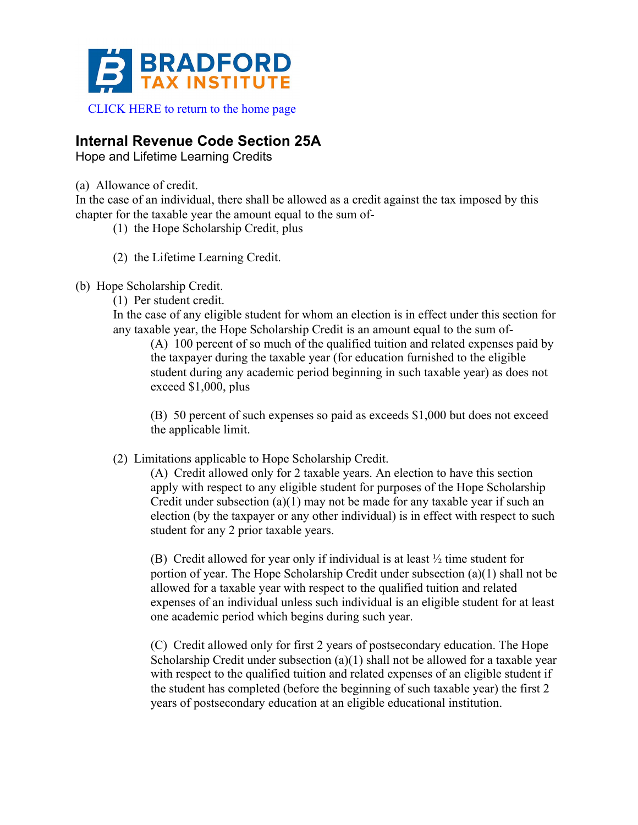

# **Internal Revenue Code Section 25A**

Hope and Lifetime Learning Credits

(a) Allowance of credit.

In the case of an individual, there shall be allowed as a credit against the tax imposed by this chapter for the taxable year the amount equal to the sum of-

- (1) the Hope Scholarship Credit, plus
- (2) the Lifetime Learning Credit.
- (b) Hope Scholarship Credit.
	- (1) Per student credit.

In the case of any eligible student for whom an election is in effect under this section for any taxable year, the Hope Scholarship Credit is an amount equal to the sum of-

(A) 100 percent of so much of the qualified tuition and related expenses paid by the taxpayer during the taxable year (for education furnished to the eligible student during any academic period beginning in such taxable year) as does not exceed \$1,000, plus

(B) 50 percent of such expenses so paid as exceeds \$1,000 but does not exceed the applicable limit.

(2) Limitations applicable to Hope Scholarship Credit.

(A) Credit allowed only for 2 taxable years. An election to have this section apply with respect to any eligible student for purposes of the Hope Scholarship Credit under subsection  $(a)(1)$  may not be made for any taxable year if such an election (by the taxpayer or any other individual) is in effect with respect to such student for any 2 prior taxable years.

(B) Credit allowed for year only if individual is at least ½ time student for portion of year. The Hope Scholarship Credit under subsection (a)(1) shall not be allowed for a taxable year with respect to the qualified tuition and related expenses of an individual unless such individual is an eligible student for at least one academic period which begins during such year.

(C) Credit allowed only for first 2 years of postsecondary education. The Hope Scholarship Credit under subsection (a)(1) shall not be allowed for a taxable year with respect to the qualified tuition and related expenses of an eligible student if the student has completed (before the beginning of such taxable year) the first 2 years of postsecondary education at an eligible educational institution.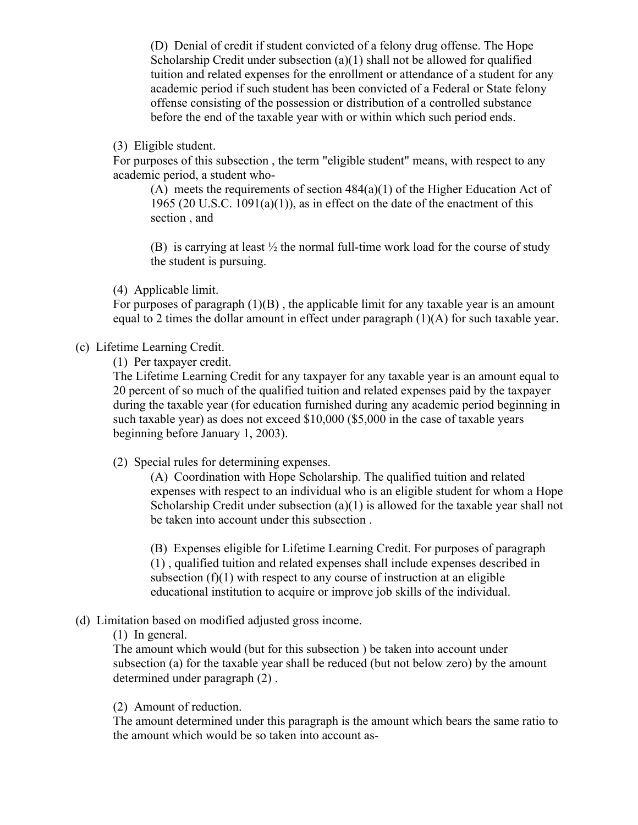(D) Denial of credit if student convicted of a felony drug offense. The Hope Scholarship Credit under subsection (a)(1) shall not be allowed for qualified tuition and related expenses for the enrollment or attendance of a student for any academic period if such student has been convicted of a Federal or State felony offense consisting of the possession or distribution of a controlled substance before the end of the taxable year with or within which such period ends.

(3) Eligible student.

For purposes of this subsection , the term "eligible student" means, with respect to any academic period, a student who-

(A) meets the requirements of section 484(a)(1) of the Higher Education Act of 1965 (20 U.S.C. 1091(a)(1)), as in effect on the date of the enactment of this section , and

(B) is carrying at least  $\frac{1}{2}$  the normal full-time work load for the course of study the student is pursuing.

(4) Applicable limit.

For purposes of paragraph  $(1)(B)$ , the applicable limit for any taxable year is an amount equal to 2 times the dollar amount in effect under paragraph (1)(A) for such taxable year.

### (c) Lifetime Learning Credit.

(1) Per taxpayer credit.

The Lifetime Learning Credit for any taxpayer for any taxable year is an amount equal to 20 percent of so much of the qualified tuition and related expenses paid by the taxpayer during the taxable year (for education furnished during any academic period beginning in such taxable year) as does not exceed \$10,000 (\$5,000 in the case of taxable years beginning before January 1, 2003).

(2) Special rules for determining expenses.

(A) Coordination with Hope Scholarship. The qualified tuition and related expenses with respect to an individual who is an eligible student for whom a Hope Scholarship Credit under subsection (a)(1) is allowed for the taxable year shall not be taken into account under this subsection .

(B) Expenses eligible for Lifetime Learning Credit. For purposes of paragraph (1) , qualified tuition and related expenses shall include expenses described in subsection  $(f)(1)$  with respect to any course of instruction at an eligible educational institution to acquire or improve job skills of the individual.

## (d) Limitation based on modified adjusted gross income.

(1) In general.

The amount which would (but for this subsection ) be taken into account under subsection (a) for the taxable year shall be reduced (but not below zero) by the amount determined under paragraph (2) .

#### (2) Amount of reduction.

The amount determined under this paragraph is the amount which bears the same ratio to the amount which would be so taken into account as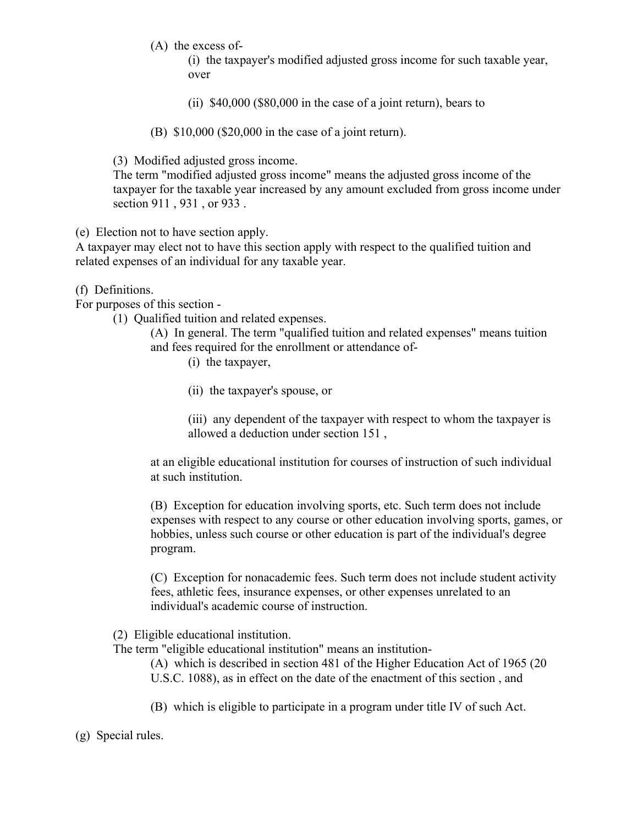(A) the excess of-

(i) the taxpayer's modified adjusted gross income for such taxable year, over

(ii) \$40,000 (\$80,000 in the case of a joint return), bears to

(B) \$10,000 (\$20,000 in the case of a joint return).

(3) Modified adjusted gross income.

The term "modified adjusted gross income" means the adjusted gross income of the taxpayer for the taxable year increased by any amount excluded from gross income under section 911 , 931 , or 933 .

(e) Election not to have section apply.

A taxpayer may elect not to have this section apply with respect to the qualified tuition and related expenses of an individual for any taxable year.

### (f) Definitions.

For purposes of this section -

(1) Qualified tuition and related expenses.

(A) In general. The term "qualified tuition and related expenses" means tuition and fees required for the enrollment or attendance of-

- (i) the taxpayer,
- (ii) the taxpayer's spouse, or

(iii) any dependent of the taxpayer with respect to whom the taxpayer is allowed a deduction under section 151 ,

at an eligible educational institution for courses of instruction of such individual at such institution.

(B) Exception for education involving sports, etc. Such term does not include expenses with respect to any course or other education involving sports, games, or hobbies, unless such course or other education is part of the individual's degree program.

(C) Exception for nonacademic fees. Such term does not include student activity fees, athletic fees, insurance expenses, or other expenses unrelated to an individual's academic course of instruction.

(2) Eligible educational institution.

The term "eligible educational institution" means an institution-

(A) which is described in section 481 of the Higher Education Act of 1965 (20 U.S.C. 1088), as in effect on the date of the enactment of this section , and

(B) which is eligible to participate in a program under title IV of such Act.

(g) Special rules.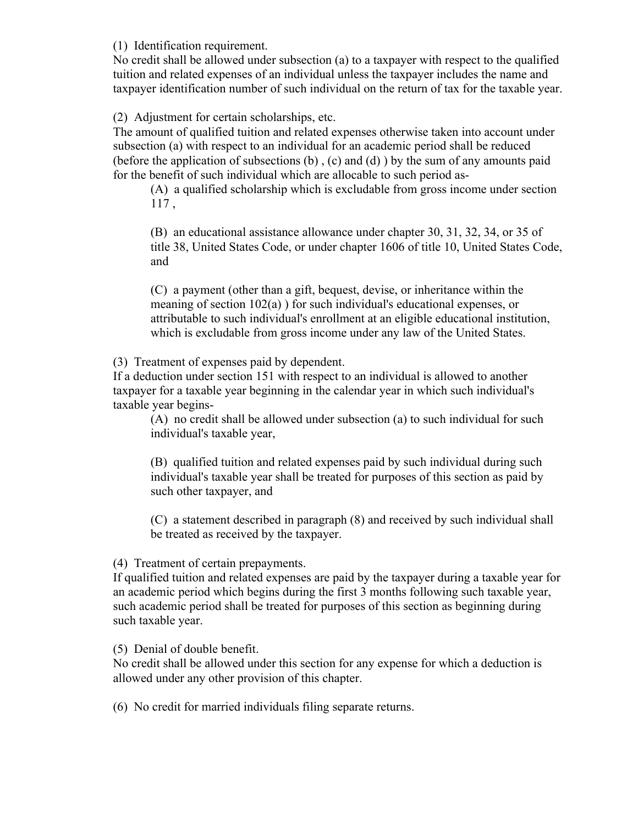(1) Identification requirement.

No credit shall be allowed under subsection (a) to a taxpayer with respect to the qualified tuition and related expenses of an individual unless the taxpayer includes the name and taxpayer identification number of such individual on the return of tax for the taxable year.

(2) Adjustment for certain scholarships, etc.

The amount of qualified tuition and related expenses otherwise taken into account under subsection (a) with respect to an individual for an academic period shall be reduced (before the application of subsections (b) , (c) and (d) ) by the sum of any amounts paid for the benefit of such individual which are allocable to such period as-

(A) a qualified scholarship which is excludable from gross income under section 117 ,

(B) an educational assistance allowance under chapter 30, 31, 32, 34, or 35 of title 38, United States Code, or under chapter 1606 of title 10, United States Code, and

(C) a payment (other than a gift, bequest, devise, or inheritance within the meaning of section 102(a) ) for such individual's educational expenses, or attributable to such individual's enrollment at an eligible educational institution, which is excludable from gross income under any law of the United States.

(3) Treatment of expenses paid by dependent.

If a deduction under section 151 with respect to an individual is allowed to another taxpayer for a taxable year beginning in the calendar year in which such individual's taxable year begins-

(A) no credit shall be allowed under subsection (a) to such individual for such individual's taxable year,

(B) qualified tuition and related expenses paid by such individual during such individual's taxable year shall be treated for purposes of this section as paid by such other taxpayer, and

(C) a statement described in paragraph (8) and received by such individual shall be treated as received by the taxpayer.

### (4) Treatment of certain prepayments.

If qualified tuition and related expenses are paid by the taxpayer during a taxable year for an academic period which begins during the first 3 months following such taxable year, such academic period shall be treated for purposes of this section as beginning during such taxable year.

### (5) Denial of double benefit.

No credit shall be allowed under this section for any expense for which a deduction is allowed under any other provision of this chapter.

(6) No credit for married individuals filing separate returns.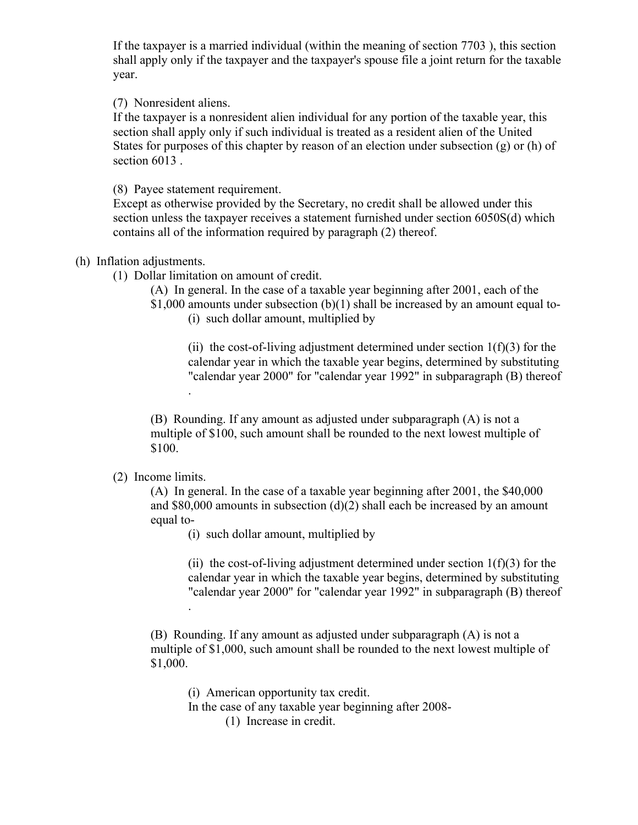If the taxpayer is a married individual (within the meaning of section 7703 ), this section shall apply only if the taxpayer and the taxpayer's spouse file a joint return for the taxable year.

(7) Nonresident aliens.

If the taxpayer is a nonresident alien individual for any portion of the taxable year, this section shall apply only if such individual is treated as a resident alien of the United States for purposes of this chapter by reason of an election under subsection  $(g)$  or  $(h)$  of section 6013 .

(8) Payee statement requirement.

.

Except as otherwise provided by the Secretary, no credit shall be allowed under this section unless the taxpayer receives a statement furnished under section 6050S(d) which contains all of the information required by paragraph (2) thereof.

#### (h) Inflation adjustments.

(1) Dollar limitation on amount of credit.

(A) In general. In the case of a taxable year beginning after 2001, each of the

\$1,000 amounts under subsection (b)(1) shall be increased by an amount equal to- (i) such dollar amount, multiplied by

(ii) the cost-of-living adjustment determined under section  $1(f)(3)$  for the calendar year in which the taxable year begins, determined by substituting "calendar year 2000" for "calendar year 1992" in subparagraph (B) thereof

(B) Rounding. If any amount as adjusted under subparagraph (A) is not a multiple of \$100, such amount shall be rounded to the next lowest multiple of \$100.

(2) Income limits.

(A) In general. In the case of a taxable year beginning after 2001, the \$40,000 and \$80,000 amounts in subsection (d)(2) shall each be increased by an amount equal to-

(i) such dollar amount, multiplied by

(ii) the cost-of-living adjustment determined under section  $1(f)(3)$  for the calendar year in which the taxable year begins, determined by substituting "calendar year 2000" for "calendar year 1992" in subparagraph (B) thereof

(B) Rounding. If any amount as adjusted under subparagraph (A) is not a multiple of \$1,000, such amount shall be rounded to the next lowest multiple of \$1,000.

(i) American opportunity tax credit.

In the case of any taxable year beginning after 2008-

(1) Increase in credit.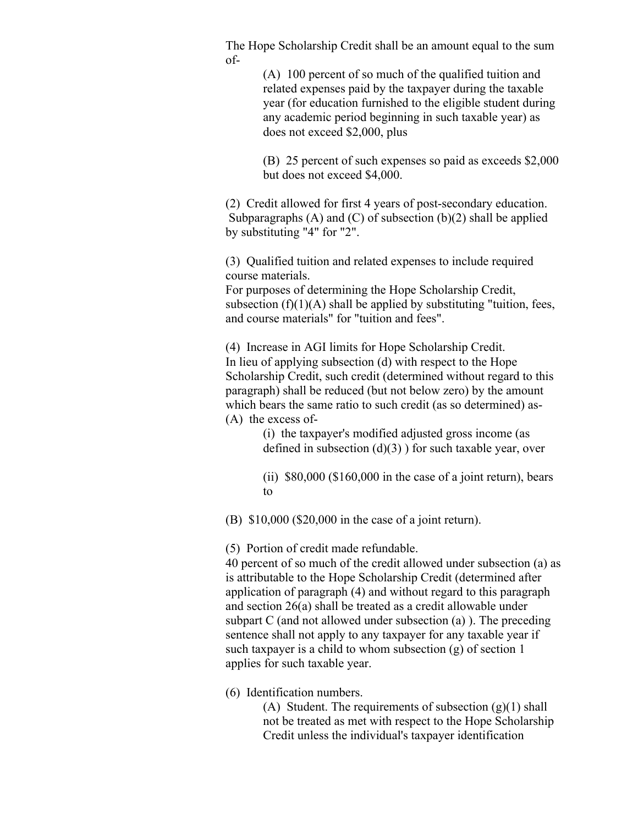The Hope Scholarship Credit shall be an amount equal to the sum of-

> (A) 100 percent of so much of the qualified tuition and related expenses paid by the taxpayer during the taxable year (for education furnished to the eligible student during any academic period beginning in such taxable year) as does not exceed \$2,000, plus

(B) 25 percent of such expenses so paid as exceeds \$2,000 but does not exceed \$4,000.

(2) Credit allowed for first 4 years of post-secondary education. Subparagraphs  $(A)$  and  $(C)$  of subsection  $(b)(2)$  shall be applied by substituting "4" for "2".

(3) Qualified tuition and related expenses to include required course materials.

For purposes of determining the Hope Scholarship Credit, subsection  $(f)(1)(A)$  shall be applied by substituting "tuition, fees, and course materials" for "tuition and fees".

(4) Increase in AGI limits for Hope Scholarship Credit. In lieu of applying subsection (d) with respect to the Hope Scholarship Credit, such credit (determined without regard to this paragraph) shall be reduced (but not below zero) by the amount which bears the same ratio to such credit (as so determined) as- (A) the excess of-

> (i) the taxpayer's modified adjusted gross income (as defined in subsection  $(d)(3)$  ) for such taxable year, over

(ii)  $$80,000$   $$160,000$  in the case of a joint return), bears to

(B) \$10,000 (\$20,000 in the case of a joint return).

(5) Portion of credit made refundable.

40 percent of so much of the credit allowed under subsection (a) as is attributable to the Hope Scholarship Credit (determined after application of paragraph (4) and without regard to this paragraph and section 26(a) shall be treated as a credit allowable under subpart C (and not allowed under subsection (a) ). The preceding sentence shall not apply to any taxpayer for any taxable year if such taxpayer is a child to whom subsection (g) of section 1 applies for such taxable year.

(6) Identification numbers.

(A) Student. The requirements of subsection  $(g)(1)$  shall not be treated as met with respect to the Hope Scholarship Credit unless the individual's taxpayer identification